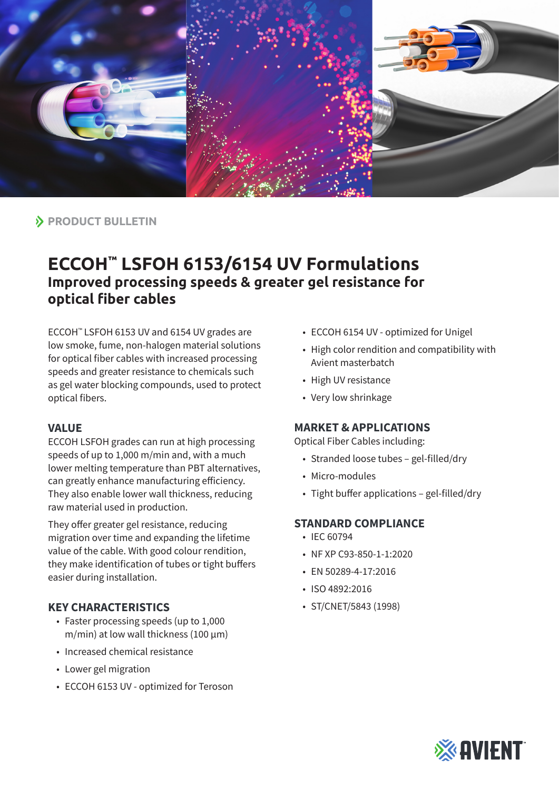

 $\lambda$  **PRODUCT BULLETIN** 

# **ECCOH™ LSFOH 6153/6154 UV Formulations Improved processing speeds & greater gel resistance for optical fiber cables**

ECCOH™ LSFOH 6153 UV and 6154 UV grades are low smoke, fume, non-halogen material solutions for optical fiber cables with increased processing speeds and greater resistance to chemicals such as gel water blocking compounds, used to protect optical fibers.

#### **VALUE**

ECCOH LSFOH grades can run at high processing speeds of up to 1,000 m/min and, with a much lower melting temperature than PBT alternatives, can greatly enhance manufacturing efficiency. They also enable lower wall thickness, reducing raw material used in production.

They offer greater gel resistance, reducing migration over time and expanding the lifetime value of the cable. With good colour rendition, they make identification of tubes or tight buffers easier during installation.

## **KEY CHARACTERISTICS**

- Faster processing speeds (up to 1,000  $m/min$ ) at low wall thickness (100  $\mu$ m)
- Increased chemical resistance
- Lower gel migration
- ECCOH 6153 UV optimized for Teroson
- ECCOH 6154 UV optimized for Unigel
- High color rendition and compatibility with Avient masterbatch
- High UV resistance
- Very low shrinkage

## **MARKET & APPLICATIONS**

Optical Fiber Cables including:

- Stranded loose tubes gel-filled/dry
- Micro-modules
- Tight buffer applications gel-filled/dry

## **STANDARD COMPLIANCE**

- IEC 60794
- NF XP C93-850-1-1:2020
- EN 50289-4-17:2016
- ISO 4892:2016
- ST/CNET/5843 (1998)